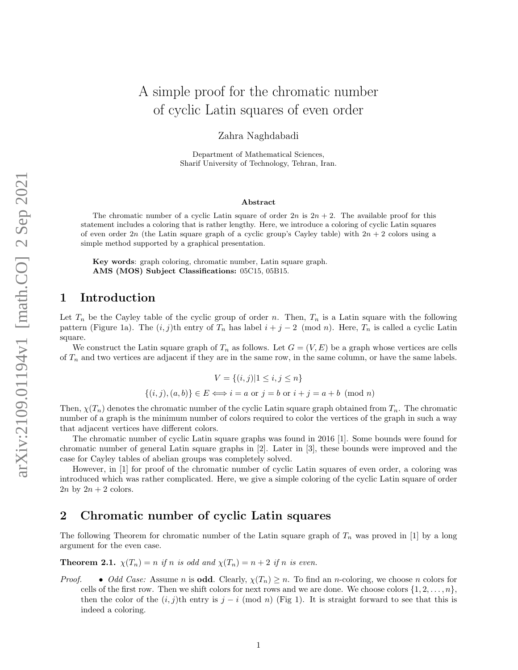# A simple proof for the chromatic number of cyclic Latin squares of even order

Zahra Naghdabadi

Department of Mathematical Sciences, Sharif University of Technology, Tehran, Iran.

#### Abstract

The chromatic number of a cyclic Latin square of order  $2n$  is  $2n + 2$ . The available proof for this statement includes a coloring that is rather lengthy. Here, we introduce a coloring of cyclic Latin squares of even order 2n (the Latin square graph of a cyclic group's Cayley table) with  $2n + 2$  colors using a simple method supported by a graphical presentation.

Key words: graph coloring, chromatic number, Latin square graph. AMS (MOS) Subject Classifications: 05C15, 05B15.

### 1 Introduction

Let  $T_n$  be the Cayley table of the cyclic group of order n. Then,  $T_n$  is a Latin square with the following pattern (Figure [1a\)](#page-1-0). The  $(i, j)$ th entry of  $T_n$  has label  $i + j - 2 \pmod{n}$ . Here,  $T_n$  is called a cyclic Latin square.

We construct the Latin square graph of  $T_n$  as follows. Let  $G = (V, E)$  be a graph whose vertices are cells of  $T_n$  and two vertices are adjacent if they are in the same row, in the same column, or have the same labels.

$$
V = \{(i, j) | 1 \le i, j \le n\}
$$

$$
\{(i, j), (a, b)\}\in E \Longleftrightarrow i = a \text{ or } j = b \text{ or } i + j = a + b \pmod{n}
$$

Then,  $\chi(T_n)$  denotes the chromatic number of the cyclic Latin square graph obtained from  $T_n$ . The chromatic number of a graph is the minimum number of colors required to color the vertices of the graph in such a way that adjacent vertices have different colors.

The chromatic number of cyclic Latin square graphs was found in 2016 [\[1\]](#page-2-0). Some bounds were found for chromatic number of general Latin square graphs in [\[2\]](#page-3-0). Later in [\[3\]](#page-3-1), these bounds were improved and the case for Cayley tables of abelian groups was completely solved.

However, in [\[1\]](#page-2-0) for proof of the chromatic number of cyclic Latin squares of even order, a coloring was introduced which was rather complicated. Here, we give a simple coloring of the cyclic Latin square of order  $2n$  by  $2n + 2$  colors.

#### 2 Chromatic number of cyclic Latin squares

The following Theorem for chromatic number of the Latin square graph of  $T_n$  was proved in [\[1\]](#page-2-0) by a long argument for the even case.

<span id="page-0-0"></span>**Theorem 2.1.**  $\chi(T_n) = n$  if n is odd and  $\chi(T_n) = n + 2$  if n is even.

*Proof.* • *Odd Case:* Assume *n* is **odd**. Clearly,  $\chi(T_n) \geq n$ . To find an *n*-coloring, we choose *n* colors for cells of the first row. Then we shift colors for next rows and we are done. We choose colors  $\{1, 2, \ldots, n\}$ , then the color of the  $(i, j)$ th entry is j − i (mod n) (Fig [1\)](#page-1-0). It is straight forward to see that this is indeed a coloring.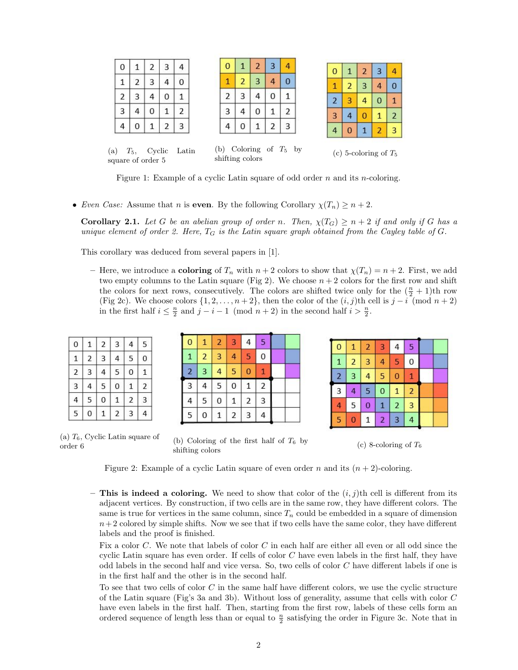<span id="page-1-0"></span>

| 0 |   | 2 | 3 | 4              |
|---|---|---|---|----------------|
| 1 | 2 | 3 | 4 | 0              |
| 2 | 3 | 4 | 0 | 1              |
| 3 | 4 | 0 | 1 | $\overline{2}$ |
| 4 | 0 |   | 2 | 3              |
|   |   |   |   |                |

| $\overline{0}$ | 1 | $\overline{2}$ | 3 | 4 |
|----------------|---|----------------|---|---|
|                | 2 | 3              | 4 | Ó |
| $\overline{c}$ | 3 | 4              | 0 |   |
| 3              |   | 0              |   | 2 |
|                |   |                | ╯ | 3 |

| $\overline{0}$ | 1              | $\overline{\mathbf{c}}$ | 3 | 4                       |
|----------------|----------------|-------------------------|---|-------------------------|
| 1              | $\mathbf{P}$   | 3                       | 4 | 0                       |
| 2              | 3              | 4                       | 0 | $\mathbf{1}$            |
| $\overline{3}$ | 4              | U                       |   | $\overline{a}$          |
| 4              | $\overline{0}$ | 1                       | 2 | $\overline{\mathbf{3}}$ |
|                |                |                         |   |                         |

| (a) | $T_{5}$ | Cyclic            | Latin |
|-----|---------|-------------------|-------|
|     |         | square of order 5 |       |

(b) Coloring of  $T_5$  by shifting colors

|  | (c) 5-coloring of $T_5$ |  |
|--|-------------------------|--|
|  |                         |  |

Figure 1: Example of a cyclic Latin square of odd order n and its n-coloring.

• Even Case: Assume that n is even. By the following Corollary  $\chi(T_n) \geq n+2$ .

**Corollary 2.1.** Let G be an abelian group of order n. Then,  $\chi(T_G) \geq n+2$  if and only if G has a unique element of order 2. Here,  $T_G$  is the Latin square graph obtained from the Cayley table of G.

This corollary was deduced from several papers in [\[1\]](#page-2-0).

– Here, we introduce a **coloring** of  $T_n$  with  $n+2$  colors to show that  $\chi(T_n) = n+2$ . First, we add two empty columns to the Latin square (Fig [2\)](#page-1-1). We choose  $n + 2$  colors for the first row and shift the colors for next rows, consecutively. The colors are shifted twice only for the  $(\frac{n}{2} + 1)$ th row (Fig [2c\)](#page-1-1). We choose colors  $\{1, 2, \ldots, n+2\}$ , then the color of the  $(i, j)$ th cell is  $j - i \pmod{n+2}$ in the first half  $i \leq \frac{n}{2}$  and  $j - i - 1 \pmod{n+2}$  in the second half  $i > \frac{n}{2}$ .

<span id="page-1-1"></span>

| 0 | 1              | $\overline{2}$ | 3 | $\overline{4}$ | 5              |
|---|----------------|----------------|---|----------------|----------------|
| 1 | $\overline{2}$ | 3              | 4 | 5              | 0              |
| 2 | 3              | 4              | 5 | 0              | 1              |
| 3 | 4              | 5              | 0 | $\mathbf{1}$   | $\overline{2}$ |
| 4 | 5              | 0              | 1 | $\overline{c}$ | 3              |
| 5 | 0              |                | 2 | 3              | 4              |

 $sq$ 

| $\bf{0}$       | $\overline{1}$ | $\overline{2}$ | 3              | 4              | 5              |  |
|----------------|----------------|----------------|----------------|----------------|----------------|--|
| $\overline{1}$ | $\overline{2}$ | 3              | $\overline{a}$ | 5              | 0              |  |
| $\overline{2}$ | 3              | 4              | 5              | 0              | 1              |  |
| $\overline{3}$ | 4              | 5              | 0              | $\overline{1}$ | $\overline{2}$ |  |
| 4              | 5              | 0              | $\mathbf{1}$   | $\overline{2}$ | 3              |  |
| 5              | O              |                | $\overline{2}$ | 3              | 4              |  |

| $\overline{0}$ | $\overline{1}$ | $\overline{a}$ | 3              | 4              | 5              |  |
|----------------|----------------|----------------|----------------|----------------|----------------|--|
| $\overline{1}$ | $\overline{a}$ | 3              | 4              | 5              | 0              |  |
| $\overline{a}$ | 3              | 4              | 5              | $\overline{0}$ | $\mathbf{1}$   |  |
| $\overline{3}$ | 4              | 5              | $\overline{0}$ | $\overline{1}$ | $\overline{a}$ |  |
| 4              | 5              | $\bf{0}$       | $\mathbf{1}$   | $\overline{2}$ | 3              |  |
| 5              | $\overline{0}$ | 1              | $\overline{2}$ | 3              | 4              |  |

(a)  $T_6$ , Cyclic Latin square of order 6

(b) Coloring of the first half of  $T_6$  by shifting colors

(c) 8-coloring of  $T_6$ 

Figure 2: Example of a cyclic Latin square of even order n and its  $(n+2)$ -coloring.

– This is indeed a coloring. We need to show that color of the  $(i, j)$ th cell is different from its adjacent vertices. By construction, if two cells are in the same row, they have different colors. The same is true for vertices in the same column, since  $T_n$  could be embedded in a square of dimension  $n+2$  colored by simple shifts. Now we see that if two cells have the same color, they have different labels and the proof is finished.

Fix a color C. We note that labels of color C in each half are either all even or all odd since the cyclic Latin square has even order. If cells of color  $C$  have even labels in the first half, they have odd labels in the second half and vice versa. So, two cells of color C have different labels if one is in the first half and the other is in the second half.

To see that two cells of color C in the same half have different colors, we use the cyclic structure of the Latin square (Fig's [3a](#page-2-1) and [3b\)](#page-2-1). Without loss of generality, assume that cells with color C have even labels in the first half. Then, starting from the first row, labels of these cells form an ordered sequence of length less than or equal to  $\frac{n}{2}$  satisfying the order in Figure [3c.](#page-2-1) Note that in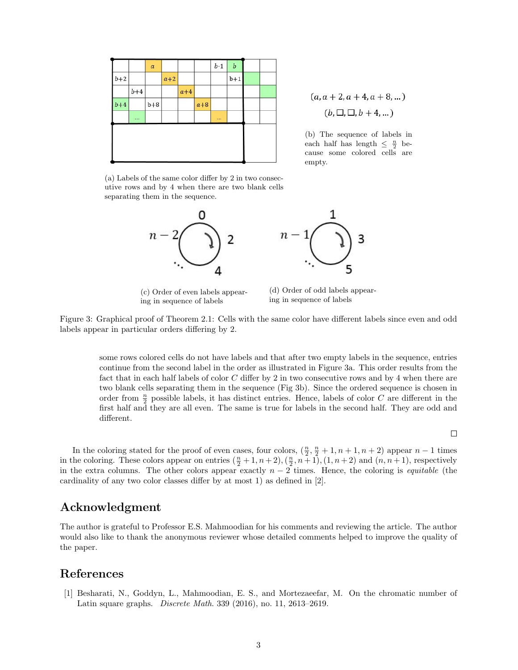<span id="page-2-1"></span>

|       |           | $\boldsymbol{a}$ |       |       |       | $b-1$ | $\boldsymbol{b}$ |  |
|-------|-----------|------------------|-------|-------|-------|-------|------------------|--|
| $b+2$ |           |                  | $a+2$ |       |       |       | $b+1$            |  |
|       | $b+4$     |                  |       | $a+4$ |       |       |                  |  |
| $b+4$ |           | $b+8$            |       |       | $a+8$ |       |                  |  |
|       | $\ddotsc$ |                  |       |       |       |       |                  |  |

 $(a, a + 2, a + 4, a + 8, ...)$  $(b, \Box, \Box, b+4, \dots)$ 

(b) The sequence of labels in each half has length  $\leq \frac{n}{2}$  because some colored cells are empty.

(a) Labels of the same color differ by 2 in two consecutive rows and by 4 when there are two blank cells separating them in the sequence.



(c) Order of even labels appearing in sequence of labels

(d) Order of odd labels appearing in sequence of labels

Figure 3: Graphical proof of Theorem [2.1:](#page-0-0) Cells with the same color have different labels since even and odd labels appear in particular orders differing by 2.

some rows colored cells do not have labels and that after two empty labels in the sequence, entries continue from the second label in the order as illustrated in Figure [3a.](#page-2-1) This order results from the fact that in each half labels of color C differ by 2 in two consecutive rows and by 4 when there are two blank cells separating them in the sequence (Fig [3b\)](#page-2-1). Since the ordered sequence is chosen in order from  $\frac{n}{2}$  possible labels, it has distinct entries. Hence, labels of color C are different in the first half and they are all even. The same is true for labels in the second half. They are odd and different.

 $\Box$ 

In the coloring stated for the proof of even cases, four colors,  $(\frac{n}{2}, \frac{n}{2} + 1, n + 1, n + 2)$  appear  $n - 1$  times in the coloring. These colors appear on entries  $(\frac{n}{2}+1, n+2), (\frac{n}{2}, n+1), (1, n+2)$  and  $(n, n+1)$ , respectively in the extra columns. The other colors appear exactly  $n-2$  times. Hence, the coloring is *equitable* (the cardinality of any two color classes differ by at most 1) as defined in [\[2\]](#page-3-0).

#### Acknowledgment

The author is grateful to Professor E.S. Mahmoodian for his comments and reviewing the article. The author would also like to thank the anonymous reviewer whose detailed comments helped to improve the quality of the paper.

## References

<span id="page-2-0"></span>[1] Besharati, N., Goddyn, L., Mahmoodian, E. S., and Mortezaeefar, M. On the chromatic number of Latin square graphs. Discrete Math. 339 (2016), no. 11, 2613–2619.